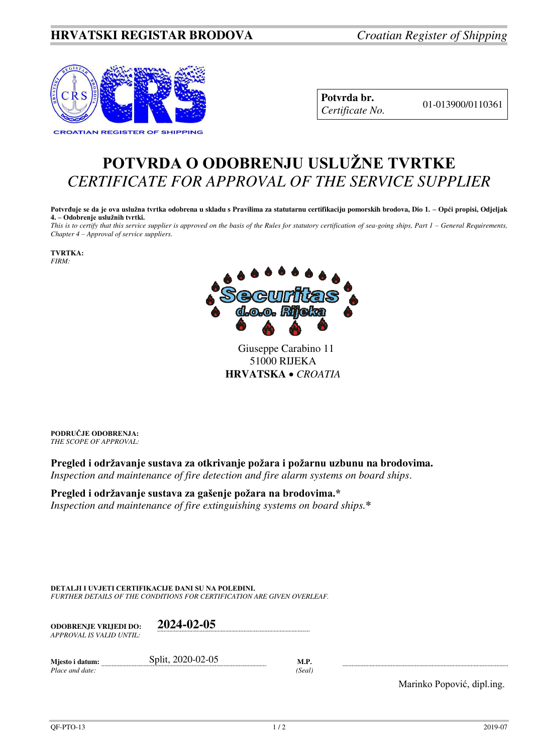## **HRVATSKI REGISTAR BRODOVA** *Croatian Register of Shipping*



**Potvrda br.** 01-013900/0110361 *Certificate No.* 

## **POTVRDA O ODOBRENJU USLUŽNE TVRTKE** *CERTIFICATE FOR APPROVAL OF THE SERVICE SUPPLIER*

**Potvrđuje se da je ova uslužna tvrtka odobrena u skladu s Pravilima za statutarnu certifikaciju pomorskih brodova, Dio 1. – Opći propisi, Odjeljak 4. – Odobrenje uslužnih tvrtki.**

*This is to certify that this service supplier is approved on the basis of the Rules for statutory certification of sea-going ships, Part 1 – General Requirements, Chapter 4 – Approval of service suppliers.* 

**TVRTKA:** *FIRM:*



Giuseppe Carabino 11 51000 RIJEKA **HRVATSKA** *CROATIA*

**PODRUČJE ODOBRENJA:** *THE SCOPE OF APPROVAL:* 

**Pregled i održavanje sustava za otkrivanje požara i požarnu uzbunu na brodovima.**  *Inspection and maintenance of fire detection and fire alarm systems on board ships*.

**Pregled i održavanje sustava za gašenje požara na brodovima.\*** *Inspection and maintenance of fire extinguishing systems on board ships.***\***

**DETALJI I UVJETI CERTIFIKACIJE DANI SU NA POLEĐINI.** *FURTHER DETAILS OF THE CONDITIONS FOR CERTIFICATION ARE GIVEN OVERLEAF.* 

| ODOBREN.IE VRLIEDI DO:   | 2024-02-05 |
|--------------------------|------------|
| APPROVAL IS VALID UNTIL: |            |
|                          |            |

| Miesto i datum: | Split, 2020-02-05 |               |
|-----------------|-------------------|---------------|
| Place and date: |                   | <i>Seal</i> ) |

Marinko Popović, dipl.ing.